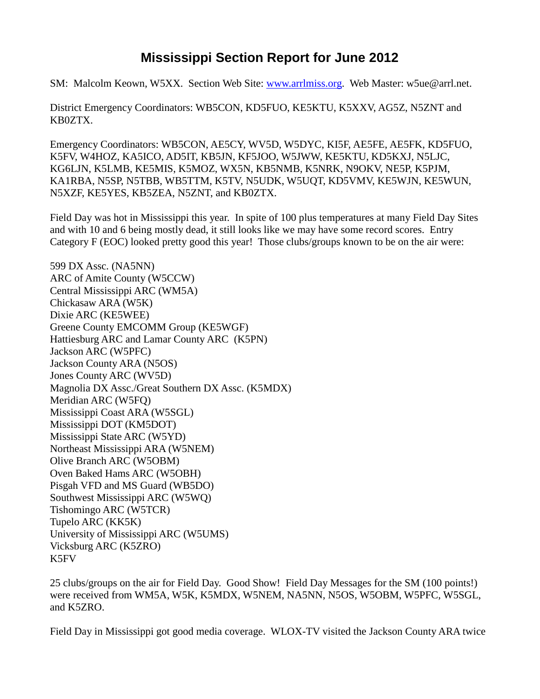## **Mississippi Section Report for June 2012**

SM: Malcolm Keown, W5XX. Section Web Site: [www.arrlmiss.org.](http://www.arrlmiss.org/) Web Master: w5ue@arrl.net.

District Emergency Coordinators: WB5CON, KD5FUO, KE5KTU, K5XXV, AG5Z, N5ZNT and KB0ZTX.

Emergency Coordinators: WB5CON, AE5CY, WV5D, W5DYC, KI5F, AE5FE, AE5FK, KD5FUO, K5FV, W4HOZ, KA5ICO, AD5IT, KB5JN, KF5JOO, W5JWW, KE5KTU, KD5KXJ, N5LJC, KG6LJN, K5LMB, KE5MIS, K5MOZ, WX5N, KB5NMB, K5NRK, N9OKV, NE5P, K5PJM, KA1RBA, N5SP, N5TBB, WB5TTM, K5TV, N5UDK, W5UQT, KD5VMV, KE5WJN, KE5WUN, N5XZF, KE5YES, KB5ZEA, N5ZNT, and KB0ZTX.

Field Day was hot in Mississippi this year. In spite of 100 plus temperatures at many Field Day Sites and with 10 and 6 being mostly dead, it still looks like we may have some record scores. Entry Category F (EOC) looked pretty good this year! Those clubs/groups known to be on the air were:

599 DX Assc. (NA5NN) ARC of Amite County (W5CCW) Central Mississippi ARC (WM5A) Chickasaw ARA (W5K) Dixie ARC (KE5WEE) Greene County EMCOMM Group (KE5WGF) Hattiesburg ARC and Lamar County ARC (K5PN) Jackson ARC (W5PFC) Jackson County ARA (N5OS) Jones County ARC (WV5D) Magnolia DX Assc./Great Southern DX Assc. (K5MDX) Meridian ARC (W5FQ) Mississippi Coast ARA (W5SGL) Mississippi DOT (KM5DOT) Mississippi State ARC (W5YD) Northeast Mississippi ARA (W5NEM) Olive Branch ARC (W5OBM) Oven Baked Hams ARC (W5OBH) Pisgah VFD and MS Guard (WB5DO) Southwest Mississippi ARC (W5WQ) Tishomingo ARC (W5TCR) Tupelo ARC (KK5K) University of Mississippi ARC (W5UMS) Vicksburg ARC (K5ZRO) K5FV

25 clubs/groups on the air for Field Day. Good Show! Field Day Messages for the SM (100 points!) were received from WM5A, W5K, K5MDX, W5NEM, NA5NN, N5OS, W5OBM, W5PFC, W5SGL, and K5ZRO.

Field Day in Mississippi got good media coverage. WLOX-TV visited the Jackson County ARA twice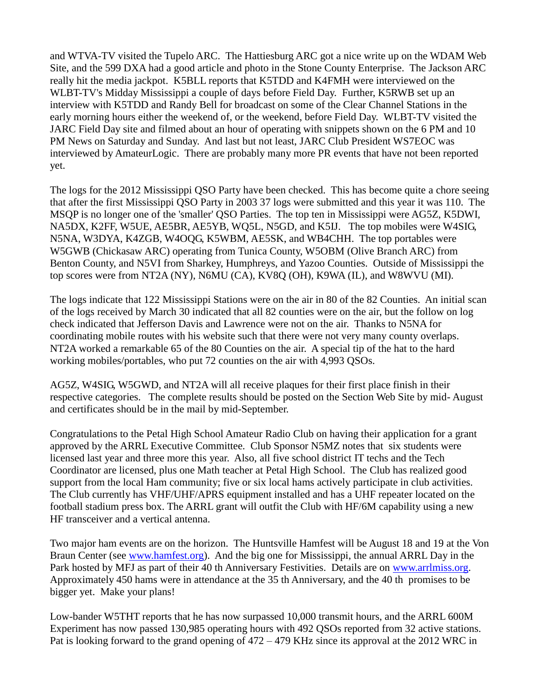and WTVA-TV visited the Tupelo ARC. The Hattiesburg ARC got a nice write up on the WDAM Web Site, and the 599 DXA had a good article and photo in the Stone County Enterprise. The Jackson ARC really hit the media jackpot. K5BLL reports that K5TDD and K4FMH were interviewed on the WLBT-TV's Midday Mississippi a couple of days before Field Day. Further, K5RWB set up an interview with K5TDD and Randy Bell for broadcast on some of the Clear Channel Stations in the early morning hours either the weekend of, or the weekend, before Field Day. WLBT-TV visited the JARC Field Day site and filmed about an hour of operating with snippets shown on the 6 PM and 10 PM News on Saturday and Sunday. And last but not least, JARC Club President WS7EOC was interviewed by AmateurLogic. There are probably many more PR events that have not been reported yet.

The logs for the 2012 Mississippi QSO Party have been checked. This has become quite a chore seeing that after the first Mississippi QSO Party in 2003 37 logs were submitted and this year it was 110. The MSQP is no longer one of the 'smaller' QSO Parties. The top ten in Mississippi were AG5Z, K5DWI, NA5DX, K2FF, W5UE, AE5BR, AE5YB, WQ5L, N5GD, and K5IJ. The top mobiles were W4SIG, N5NA, W3DYA, K4ZGB, W4OQG, K5WBM, AE5SK, and WB4CHH. The top portables were W5GWB (Chickasaw ARC) operating from Tunica County, W5OBM (Olive Branch ARC) from Benton County, and N5VI from Sharkey, Humphreys, and Yazoo Counties. Outside of Mississippi the top scores were from NT2A (NY), N6MU (CA), KV8Q (OH), K9WA (IL), and W8WVU (MI).

The logs indicate that 122 Mississippi Stations were on the air in 80 of the 82 Counties. An initial scan of the logs received by March 30 indicated that all 82 counties were on the air, but the follow on log check indicated that Jefferson Davis and Lawrence were not on the air. Thanks to N5NA for coordinating mobile routes with his website such that there were not very many county overlaps. NT2A worked a remarkable 65 of the 80 Counties on the air. A special tip of the hat to the hard working mobiles/portables, who put 72 counties on the air with 4,993 QSOs.

AG5Z, W4SIG, W5GWD, and NT2A will all receive plaques for their first place finish in their respective categories. The complete results should be posted on the Section Web Site by mid- August and certificates should be in the mail by mid-September.

Congratulations to the Petal High School Amateur Radio Club on having their application for a grant approved by the ARRL Executive Committee. Club Sponsor N5MZ notes that six students were licensed last year and three more this year. Also, all five school district IT techs and the Tech Coordinator are licensed, plus one Math teacher at Petal High School. The Club has realized good support from the local Ham community; five or six local hams actively participate in club activities. The Club currently has VHF/UHF/APRS equipment installed and has a UHF repeater located on the football stadium press box. The ARRL grant will outfit the Club with HF/6M capability using a new HF transceiver and a vertical antenna.

Two major ham events are on the horizon. The Huntsville Hamfest will be August 18 and 19 at the Von Braun Center (see [www.hamfest.org\)](http://www.hamfest.org/). And the big one for Mississippi, the annual ARRL Day in the Park hosted by MFJ as part of their 40 th Anniversary Festivities. Details are on [www.arrlmiss.org.](http://www.arrlmiss.org/) Approximately 450 hams were in attendance at the 35 th Anniversary, and the 40 th promises to be bigger yet. Make your plans!

Low-bander W5THT reports that he has now surpassed 10,000 transmit hours, and the ARRL 600M Experiment has now passed 130,985 operating hours with 492 QSOs reported from 32 active stations. Pat is looking forward to the grand opening of 472 – 479 KHz since its approval at the 2012 WRC in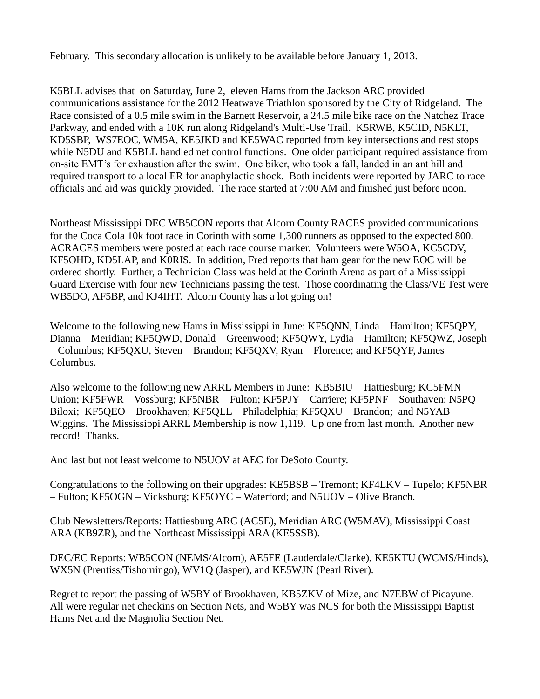February. This secondary allocation is unlikely to be available before January 1, 2013.

K5BLL advises that on Saturday, June 2, eleven Hams from the Jackson ARC provided communications assistance for the 2012 Heatwave Triathlon sponsored by the City of Ridgeland. The Race consisted of a 0.5 mile swim in the Barnett Reservoir, a 24.5 mile bike race on the Natchez Trace Parkway, and ended with a 10K run along Ridgeland's Multi-Use Trail. K5RWB, K5CID, N5KLT, KD5SBP, WS7EOC, WM5A, KE5JKD and KE5WAC reported from key intersections and rest stops while N5DU and K5BLL handled net control functions. One older participant required assistance from on-site EMT's for exhaustion after the swim. One biker, who took a fall, landed in an ant hill and required transport to a local ER for anaphylactic shock. Both incidents were reported by JARC to race officials and aid was quickly provided. The race started at 7:00 AM and finished just before noon.

Northeast Mississippi DEC WB5CON reports that Alcorn County RACES provided communications for the Coca Cola 10k foot race in Corinth with some 1,300 runners as opposed to the expected 800. ACRACES members were posted at each race course marker. Volunteers were W5OA, KC5CDV, KF5OHD, KD5LAP, and K0RIS. In addition, Fred reports that ham gear for the new EOC will be ordered shortly. Further, a Technician Class was held at the Corinth Arena as part of a Mississippi Guard Exercise with four new Technicians passing the test. Those coordinating the Class/VE Test were WB5DO, AF5BP, and KJ4IHT. Alcorn County has a lot going on!

Welcome to the following new Hams in Mississippi in June: KF5QNN, Linda – Hamilton; KF5QPY, Dianna – Meridian; KF5QWD, Donald – Greenwood; KF5QWY, Lydia – Hamilton; KF5QWZ, Joseph – Columbus; KF5QXU, Steven – Brandon; KF5QXV, Ryan – Florence; and KF5QYF, James – Columbus.

Also welcome to the following new ARRL Members in June: KB5BIU – Hattiesburg; KC5FMN – Union; KF5FWR – Vossburg; KF5NBR – Fulton; KF5PJY – Carriere; KF5PNF – Southaven; N5PQ – Biloxi; KF5QEO – Brookhaven; KF5QLL – Philadelphia; KF5QXU – Brandon; and N5YAB – Wiggins. The Mississippi ARRL Membership is now 1,119. Up one from last month. Another new record! Thanks.

And last but not least welcome to N5UOV at AEC for DeSoto County.

Congratulations to the following on their upgrades: KE5BSB – Tremont; KF4LKV – Tupelo; KF5NBR – Fulton; KF5OGN – Vicksburg; KF5OYC – Waterford; and N5UOV – Olive Branch.

Club Newsletters/Reports: Hattiesburg ARC (AC5E), Meridian ARC (W5MAV), Mississippi Coast ARA (KB9ZR), and the Northeast Mississippi ARA (KE5SSB).

DEC/EC Reports: WB5CON (NEMS/Alcorn), AE5FE (Lauderdale/Clarke), KE5KTU (WCMS/Hinds), WX5N (Prentiss/Tishomingo), WV1Q (Jasper), and KE5WJN (Pearl River).

Regret to report the passing of W5BY of Brookhaven, KB5ZKV of Mize, and N7EBW of Picayune. All were regular net checkins on Section Nets, and W5BY was NCS for both the Mississippi Baptist Hams Net and the Magnolia Section Net.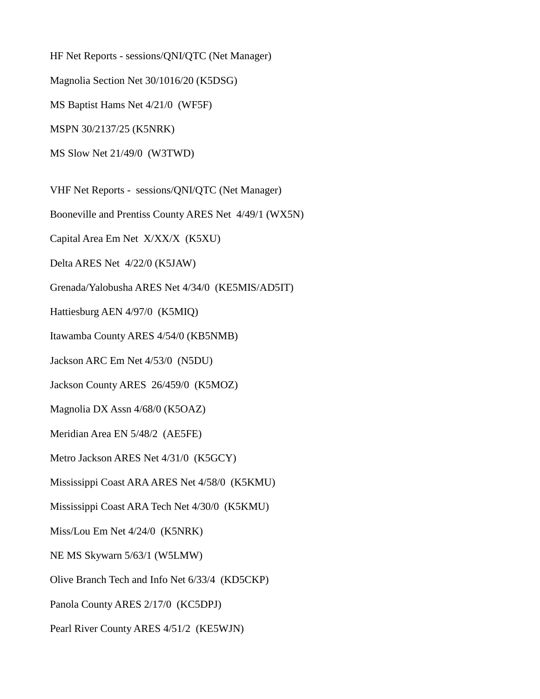HF Net Reports - sessions/QNI/QTC (Net Manager) Magnolia Section Net 30/1016/20 (K5DSG) MS Baptist Hams Net 4/21/0 (WF5F) MSPN 30/2137/25 (K5NRK) MS Slow Net 21/49/0 (W3TWD) VHF Net Reports - sessions/QNI/QTC (Net Manager) Booneville and Prentiss County ARES Net 4/49/1 (WX5N) Capital Area Em Net X/XX/X (K5XU) Delta ARES Net 4/22/0 (K5JAW) Grenada/Yalobusha ARES Net 4/34/0 (KE5MIS/AD5IT) Hattiesburg AEN 4/97/0 (K5MIQ) Itawamba County ARES 4/54/0 (KB5NMB) Jackson ARC Em Net 4/53/0 (N5DU) Jackson County ARES 26/459/0 (K5MOZ) Magnolia DX Assn 4/68/0 (K5OAZ) Meridian Area EN 5/48/2 (AE5FE) Metro Jackson ARES Net 4/31/0 (K5GCY) Mississippi Coast ARA ARES Net 4/58/0 (K5KMU) Mississippi Coast ARA Tech Net 4/30/0 (K5KMU) Miss/Lou Em Net 4/24/0 (K5NRK) NE MS Skywarn 5/63/1 (W5LMW) Olive Branch Tech and Info Net 6/33/4 (KD5CKP) Panola County ARES 2/17/0 (KC5DPJ) Pearl River County ARES 4/51/2 (KE5WJN)